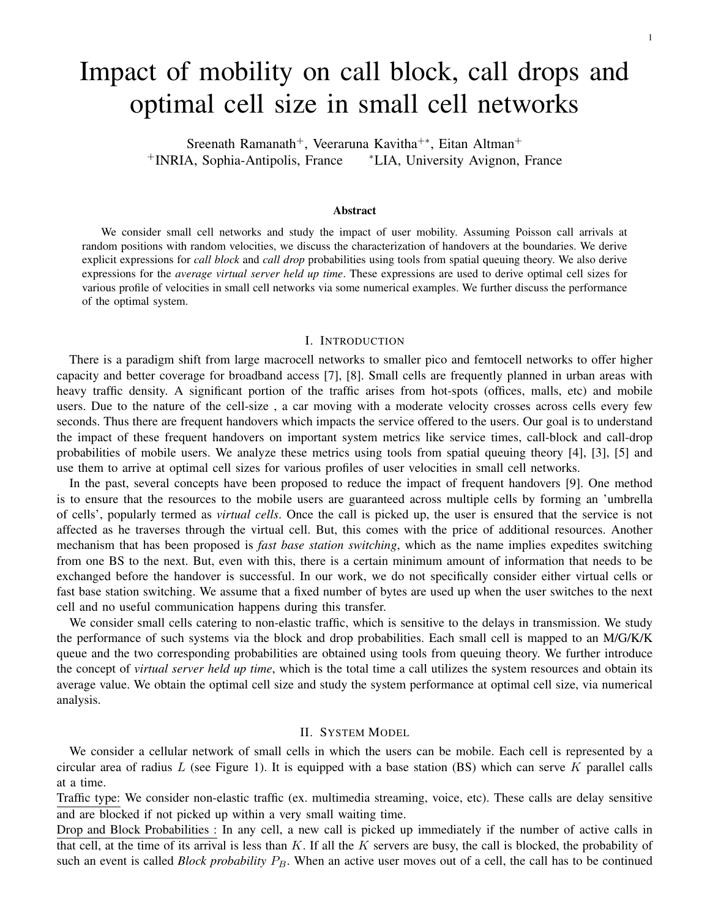# Impact of mobility on call block, call drops and optimal cell size in small cell networks

Sreenath Ramanath<sup>+</sup>, Veeraruna Kavitha<sup>+\*</sup>, Eitan Altman<sup>+</sup> <sup>+</sup>INRIA, Sophia-Antipolis, France <sup>∗</sup>LIA, University Avignon, France

#### Abstract

We consider small cell networks and study the impact of user mobility. Assuming Poisson call arrivals at random positions with random velocities, we discuss the characterization of handovers at the boundaries. We derive explicit expressions for *call block* and *call drop* probabilities using tools from spatial queuing theory. We also derive expressions for the *average virtual server held up time*. These expressions are used to derive optimal cell sizes for various profile of velocities in small cell networks via some numerical examples. We further discuss the performance of the optimal system.

## I. INTRODUCTION

There is a paradigm shift from large macrocell networks to smaller pico and femtocell networks to offer higher capacity and better coverage for broadband access [7], [8]. Small cells are frequently planned in urban areas with heavy traffic density. A significant portion of the traffic arises from hot-spots (offices, malls, etc) and mobile users. Due to the nature of the cell-size , a car moving with a moderate velocity crosses across cells every few seconds. Thus there are frequent handovers which impacts the service offered to the users. Our goal is to understand the impact of these frequent handovers on important system metrics like service times, call-block and call-drop probabilities of mobile users. We analyze these metrics using tools from spatial queuing theory [4], [3], [5] and use them to arrive at optimal cell sizes for various profiles of user velocities in small cell networks.

In the past, several concepts have been proposed to reduce the impact of frequent handovers [9]. One method is to ensure that the resources to the mobile users are guaranteed across multiple cells by forming an 'umbrella of cells', popularly termed as *virtual cells*. Once the call is picked up, the user is ensured that the service is not affected as he traverses through the virtual cell. But, this comes with the price of additional resources. Another mechanism that has been proposed is *fast base station switching*, which as the name implies expedites switching from one BS to the next. But, even with this, there is a certain minimum amount of information that needs to be exchanged before the handover is successful. In our work, we do not specifically consider either virtual cells or fast base station switching. We assume that a fixed number of bytes are used up when the user switches to the next cell and no useful communication happens during this transfer.

We consider small cells catering to non-elastic traffic, which is sensitive to the delays in transmission. We study the performance of such systems via the block and drop probabilities. Each small cell is mapped to an M/G/K/K queue and the two corresponding probabilities are obtained using tools from queuing theory. We further introduce the concept of *virtual server held up time*, which is the total time a call utilizes the system resources and obtain its average value. We obtain the optimal cell size and study the system performance at optimal cell size, via numerical analysis.

## II. SYSTEM MODEL

We consider a cellular network of small cells in which the users can be mobile. Each cell is represented by a circular area of radius  $L$  (see Figure 1). It is equipped with a base station (BS) which can serve  $K$  parallel calls at a time.

Traffic type: We consider non-elastic traffic (ex. multimedia streaming, voice, etc). These calls are delay sensitive and are blocked if not picked up within a very small waiting time.

Drop and Block Probabilities : In any cell, a new call is picked up immediately if the number of active calls in that cell, at the time of its arrival is less than  $K$ . If all the  $K$  servers are busy, the call is blocked, the probability of such an event is called *Block probability*  $P_B$ . When an active user moves out of a cell, the call has to be continued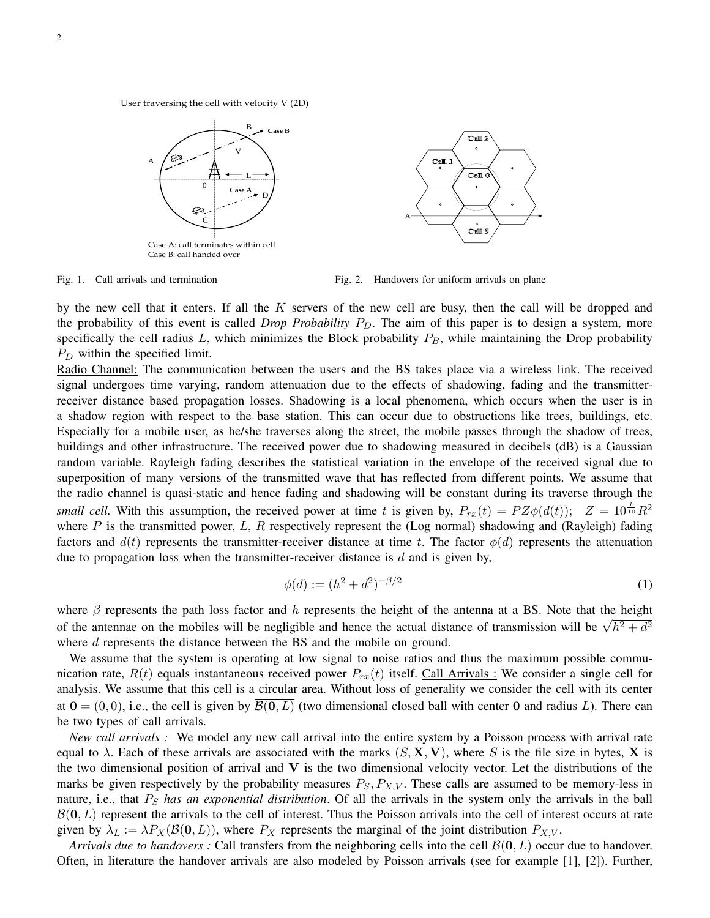User traversing the cell with velocity V (2D)



Fig. 1. Call arrivals and termination

Fig. 2. Handovers for uniform arrivals on plane

by the new cell that it enters. If all the  $K$  servers of the new cell are busy, then the call will be dropped and the probability of this event is called *Drop Probability*  $P_D$ . The aim of this paper is to design a system, more specifically the cell radius  $L$ , which minimizes the Block probability  $P_B$ , while maintaining the Drop probability  $P_D$  within the specified limit.

Radio Channel: The communication between the users and the BS takes place via a wireless link. The received signal undergoes time varying, random attenuation due to the effects of shadowing, fading and the transmitterreceiver distance based propagation losses. Shadowing is a local phenomena, which occurs when the user is in a shadow region with respect to the base station. This can occur due to obstructions like trees, buildings, etc. Especially for a mobile user, as he/she traverses along the street, the mobile passes through the shadow of trees, buildings and other infrastructure. The received power due to shadowing measured in decibels (dB) is a Gaussian random variable. Rayleigh fading describes the statistical variation in the envelope of the received signal due to superposition of many versions of the transmitted wave that has reflected from different points. We assume that the radio channel is quasi-static and hence fading and shadowing will be constant during its traverse through the *small cell.* With this assumption, the received power at time t is given by,  $P_{rx}(t) = PZ\phi(d(t))$ ;  $Z = 10^{\frac{L}{10}}R^2$ where  $P$  is the transmitted power,  $L$ ,  $R$  respectively represent the (Log normal) shadowing and (Rayleigh) fading factors and  $d(t)$  represents the transmitter-receiver distance at time t. The factor  $\phi(d)$  represents the attenuation due to propagation loss when the transmitter-receiver distance is  $d$  and is given by,

$$
\phi(d) := (h^2 + d^2)^{-\beta/2} \tag{1}
$$

where  $\beta$  represents the path loss factor and h represents the height of the antenna at a BS. Note that the height where  $\beta$  represents the path loss factor and *h* represents the height of the antenna at a BS. Note that the height of the antennae on the mobiles will be negligible and hence the actual distance of transmission will be where *d* represents the distance between the BS and the mobile on ground.

We assume that the system is operating at low signal to noise ratios and thus the maximum possible communication rate,  $R(t)$  equals instantaneous received power  $P_{rx}(t)$  itself. Call Arrivals : We consider a single cell for analysis. We assume that this cell is a circular area. Without loss of generality we consider the cell with its center at  $\mathbf{0} = (0, 0)$ , i.e., the cell is given by  $\mathcal{B}(\mathbf{0}, L)$  (two dimensional closed ball with center 0 and radius L). There can be two types of call arrivals.

*New call arrivals :* We model any new call arrival into the entire system by a Poisson process with arrival rate equal to  $\lambda$ . Each of these arrivals are associated with the marks  $(S, X, V)$ , where S is the file size in bytes, X is the two dimensional position of arrival and  $V$  is the two dimensional velocity vector. Let the distributions of the marks be given respectively by the probability measures  $P_S, P_{X,V}$ . These calls are assumed to be memory-less in nature, i.e., that P<sub>S</sub> has an exponential distribution. Of all the arrivals in the system only the arrivals in the ball  $\mathcal{B}(0, L)$  represent the arrivals to the cell of interest. Thus the Poisson arrivals into the cell of interest occurs at rate given by  $\lambda_L := \lambda P_X(\mathcal{B}(0,L))$ , where  $P_X$  represents the marginal of the joint distribution  $P_{X,V}$ .

*Arrivals due to handovers :* Call transfers from the neighboring cells into the cell  $\mathcal{B}(0, L)$  occur due to handover. Often, in literature the handover arrivals are also modeled by Poisson arrivals (see for example [1], [2]). Further,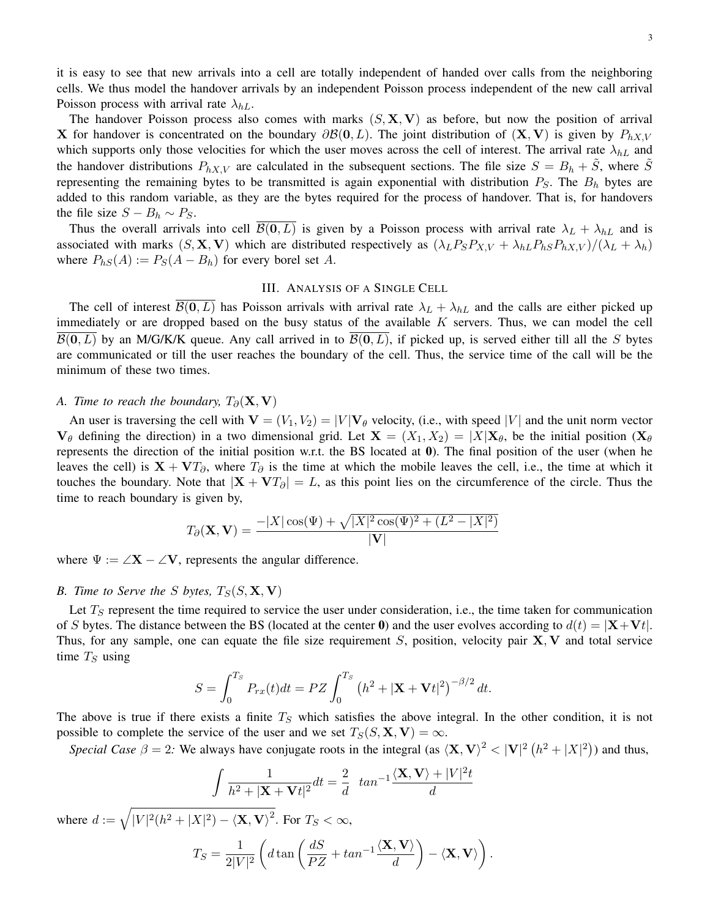it is easy to see that new arrivals into a cell are totally independent of handed over calls from the neighboring cells. We thus model the handover arrivals by an independent Poisson process independent of the new call arrival Poisson process with arrival rate  $\lambda_{hL}$ .

The handover Poisson process also comes with marks  $(S, \mathbf{X}, \mathbf{V})$  as before, but now the position of arrival X for handover is concentrated on the boundary  $\partial \mathcal{B}(0, L)$ . The joint distribution of  $(X, V)$  is given by  $P_{hX,V}$ which supports only those velocities for which the user moves across the cell of interest. The arrival rate  $\lambda_{hL}$  and the handover distributions  $P_{hX,V}$  are calculated in the subsequent sections. The file size  $S = B_h + \tilde{S}$ , where  $\tilde{S}$ representing the remaining bytes to be transmitted is again exponential with distribution  $P_S$ . The  $B_h$  bytes are added to this random variable, as they are the bytes required for the process of handover. That is, for handovers the file size  $S - B_h \sim P_S$ .

Thus the overall arrivals into cell  $\overline{\mathcal{B}(0, L)}$  is given by a Poisson process with arrival rate  $\lambda_L + \lambda_{hL}$  and is associated with marks  $(S, X, V)$  which are distributed respectively as  $(\lambda_L P_S P_{X,V} + \lambda_{hL} P_{hS} P_{hX,V})/(\lambda_L + \lambda_h)$ where  $P_{hS}(A) := P_S(A - B_h)$  for every borel set A.

## III. ANALYSIS OF A SINGLE CELL

The cell of interest  $\overline{\mathcal{B}(0,L)}$  has Poisson arrivals with arrival rate  $\lambda_L + \lambda_{hL}$  and the calls are either picked up immediately or are dropped based on the busy status of the available  $K$  servers. Thus, we can model the cell  $\mathcal{B}(0, L)$  by an M/G/K/K queue. Any call arrived in to  $\mathcal{B}(0, L)$ , if picked up, is served either till all the S bytes are communicated or till the user reaches the boundary of the cell. Thus, the service time of the call will be the minimum of these two times.

# *A. Time to reach the boundary,*  $T_{\partial}(\mathbf{X}, \mathbf{V})$

An user is traversing the cell with  $V = (V_1, V_2) = |V| V_\theta$  velocity, (i.e., with speed |V| and the unit norm vector  $V_\theta$  defining the direction) in a two dimensional grid. Let  $X = (X_1, X_2) = |X|X_\theta$ , be the initial position  $(X_\theta)$ represents the direction of the initial position w.r.t. the BS located at 0). The final position of the user (when he leaves the cell) is  $X + VT_{\partial}$ , where  $T_{\partial}$  is the time at which the mobile leaves the cell, i.e., the time at which it touches the boundary. Note that  $|\mathbf{X} + \mathbf{V}T_{\partial}| = L$ , as this point lies on the circumference of the circle. Thus the time to reach boundary is given by,

$$
T_{\partial}(\mathbf{X}, \mathbf{V}) = \frac{-|X| \cos(\Psi) + \sqrt{|X|^2 \cos(\Psi)^2 + (L^2 - |X|^2)}}{|\mathbf{V}|}
$$

where  $\Psi := \angle X - \angle V$ , represents the angular difference.

#### *B. Time to Serve the S bytes,*  $T_S(S, \mathbf{X}, \mathbf{V})$

Let  $T<sub>S</sub>$  represent the time required to service the user under consideration, i.e., the time taken for communication of S bytes. The distance between the BS (located at the center 0) and the user evolves according to  $d(t) = |\mathbf{X} + \mathbf{V}t|$ . Thus, for any sample, one can equate the file size requirement  $S$ , position, velocity pair  $X$ ,  $V$  and total service time  $T_S$  using

$$
S = \int_0^{T_S} P_{rx}(t)dt = PZ \int_0^{T_S} (h^2 + |\mathbf{X} + \mathbf{V}t|^2)^{-\beta/2} dt.
$$

The above is true if there exists a finite  $T<sub>S</sub>$  which satisfies the above integral. In the other condition, it is not possible to complete the service of the user and we set  $T_S(S, \mathbf{X}, \mathbf{V}) = \infty$ .

*Special Case*  $\beta = 2$ : We always have conjugate roots in the integral (as  $\langle X, V \rangle^2 < |V|^2 (h^2 + |X|^2)$ ) and thus,

$$
\int \frac{1}{h^2 + |\mathbf{X} + \mathbf{V}t|^2} dt = \frac{2}{d} \tan^{-1} \frac{\langle \mathbf{X}, \mathbf{V} \rangle + |V|^2 t}{d}
$$
\nwhere  $d := \sqrt{|V|^2 (h^2 + |X|^2) - \langle \mathbf{X}, \mathbf{V} \rangle^2}$ . For  $T_S < \infty$ ,  
\n
$$
T_S = \frac{1}{2|V|^2} \left( d \tan \left( \frac{dS}{PZ} + \tan^{-1} \frac{\langle \mathbf{X}, \mathbf{V} \rangle}{d} \right) - \langle \mathbf{X}, \mathbf{V} \rangle \right).
$$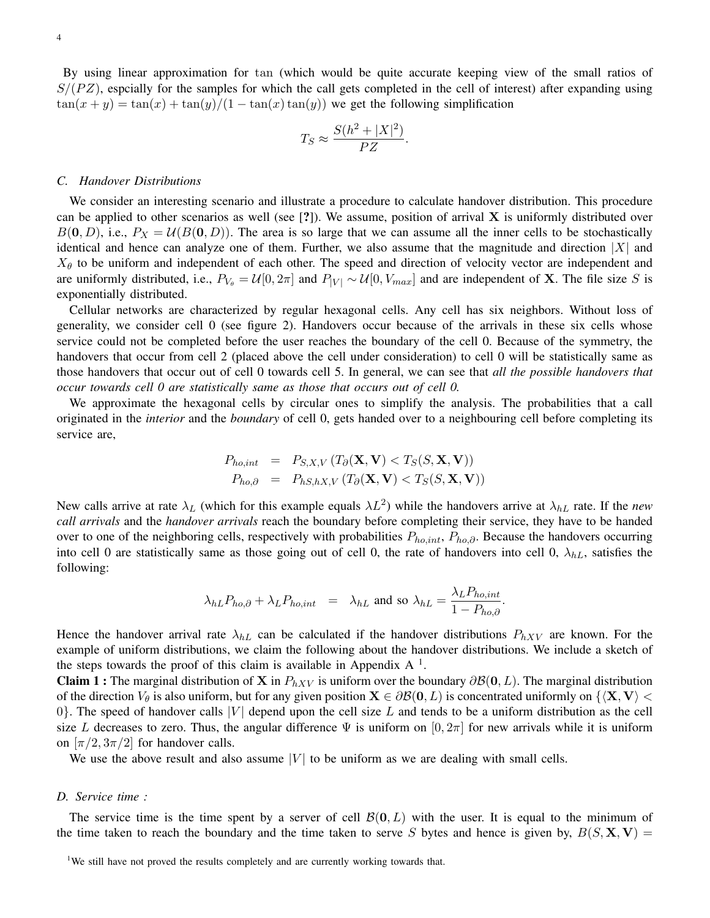By using linear approximation for tan (which would be quite accurate keeping view of the small ratios of  $S/(PZ)$ , espcially for the samples for which the call gets completed in the cell of interest) after expanding using  $\tan(x + y) = \tan(x) + \tan(y)/(1 - \tan(x) \tan(y))$  we get the following simplification

$$
T_S \approx \frac{S(h^2 + |X|^2)}{PZ}
$$

.

#### *C. Handover Distributions*

We consider an interesting scenario and illustrate a procedure to calculate handover distribution. This procedure can be applied to other scenarios as well (see  $[?]$ ). We assume, position of arrival  $X$  is uniformly distributed over  $B(0, D)$ , i.e.,  $P_X = \mathcal{U}(B(0, D))$ . The area is so large that we can assume all the inner cells to be stochastically identical and hence can analyze one of them. Further, we also assume that the magnitude and direction  $|X|$  and  $X_{\theta}$  to be uniform and independent of each other. The speed and direction of velocity vector are independent and are uniformly distributed, i.e.,  $P_{V_{\theta}} = \mathcal{U}[0, 2\pi]$  and  $P_{|V|} \sim \mathcal{U}[0, V_{max}]$  and are independent of **X**. The file size S is exponentially distributed.

Cellular networks are characterized by regular hexagonal cells. Any cell has six neighbors. Without loss of generality, we consider cell 0 (see figure 2). Handovers occur because of the arrivals in these six cells whose service could not be completed before the user reaches the boundary of the cell 0. Because of the symmetry, the handovers that occur from cell 2 (placed above the cell under consideration) to cell 0 will be statistically same as those handovers that occur out of cell 0 towards cell 5. In general, we can see that *all the possible handovers that occur towards cell 0 are statistically same as those that occurs out of cell 0.*

We approximate the hexagonal cells by circular ones to simplify the analysis. The probabilities that a call originated in the *interior* and the *boundary* of cell 0, gets handed over to a neighbouring cell before completing its service are,

$$
P_{ho, int} = P_{S, X, V} (T_{\partial}(\mathbf{X}, \mathbf{V}) < T_S(S, \mathbf{X}, \mathbf{V}))
$$
\n
$$
P_{ho, \partial} = P_{hS, hX, V} (T_{\partial}(\mathbf{X}, \mathbf{V}) < T_S(S, \mathbf{X}, \mathbf{V}))
$$

New calls arrive at rate  $\lambda_L$  (which for this example equals  $\lambda L^2$ ) while the handovers arrive at  $\lambda_{hL}$  rate. If the *new call arrivals* and the *handover arrivals* reach the boundary before completing their service, they have to be handed over to one of the neighboring cells, respectively with probabilities  $P_{ho, int}$ ,  $P_{ho, ∂}$ . Because the handovers occurring into cell 0 are statistically same as those going out of cell 0, the rate of handovers into cell 0,  $\lambda_{hL}$ , satisfies the following:

$$
\lambda_{hL} P_{ho,\partial} + \lambda_L P_{ho,int} = \lambda_{hL} \text{ and so } \lambda_{hL} = \frac{\lambda_L P_{ho,int}}{1 - P_{ho,\partial}}.
$$

Hence the handover arrival rate  $\lambda_{hL}$  can be calculated if the handover distributions  $P_{hXV}$  are known. For the example of uniform distributions, we claim the following about the handover distributions. We include a sketch of the steps towards the proof of this claim is available in Appendix  $A<sup>1</sup>$ .

**Claim 1 :** The marginal distribution of X in  $P_{hXY}$  is uniform over the boundary  $\partial \mathcal{B}(0, L)$ . The marginal distribution of the direction  $V_\theta$  is also uniform, but for any given position  $\mathbf{X} \in \partial \mathcal{B}(\mathbf{0}, L)$  is concentrated uniformly on  $\{ \langle \mathbf{X}, \mathbf{V} \rangle \langle \mathbf{X}, \mathbf{V} \rangle \langle \mathbf{X}, \mathbf{V} \rangle \langle \mathbf{X}, \mathbf{V} \rangle \langle \mathbf{X}, \mathbf{V} \rangle \langle \mathbf{X}, \mathbf{V} \$ 0. The speed of handover calls  $|V|$  depend upon the cell size L and tends to be a uniform distribution as the cell size L decreases to zero. Thus, the angular difference  $\Psi$  is uniform on  $[0, 2\pi]$  for new arrivals while it is uniform on  $[\pi/2, 3\pi/2]$  for handover calls.

We use the above result and also assume  $|V|$  to be uniform as we are dealing with small cells.

#### *D. Service time :*

The service time is the time spent by a server of cell  $\mathcal{B}(0, L)$  with the user. It is equal to the minimum of the time taken to reach the boundary and the time taken to serve S bytes and hence is given by,  $B(S, X, V) =$ 

<sup>&</sup>lt;sup>1</sup>We still have not proved the results completely and are currently working towards that.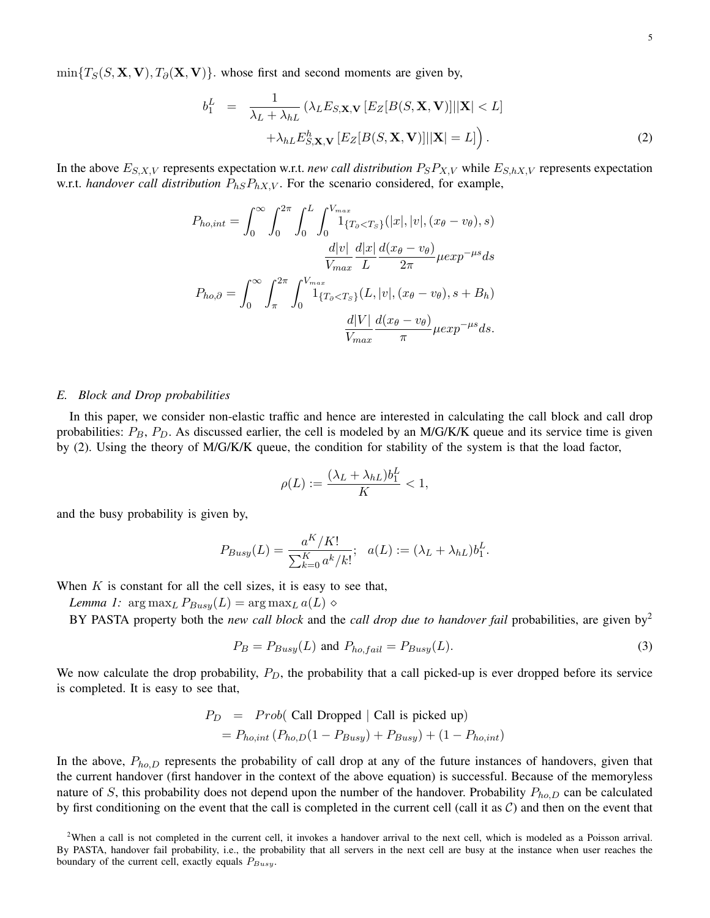$\min\{T_S(S, X, V), T_\partial(X, V)\}\.$  whose first and second moments are given by,

$$
b_1^L = \frac{1}{\lambda_L + \lambda_{hL}} (\lambda_L E_{S, \mathbf{X}, \mathbf{V}} [E_Z[B(S, \mathbf{X}, \mathbf{V})] || \mathbf{X}| < L] + \lambda_{hL} E_{S, \mathbf{X}, \mathbf{V}}^h [E_Z[B(S, \mathbf{X}, \mathbf{V})] || \mathbf{X}| = L] \Big).
$$
\n(2)

In the above  $E_{S, X, V}$  represents expectation w.r.t. *new call distribution*  $P_S P_{X, V}$  while  $E_{S, hX, V}$  represents expectation w.r.t. *handover call distribution*  $P_{hS}P_{hX,V}$ . For the scenario considered, for example,

$$
P_{ho,int} = \int_0^\infty \int_0^{2\pi} \int_0^L \int_0^{V_{max}} 1_{\{T_\partial < T_S\}}(|x|, |v|, (x_\theta - v_\theta), s)
$$

$$
\frac{d|v|}{V_{max}} \frac{d|x|}{L} \frac{d(x_\theta - v_\theta)}{2\pi} \mu exp^{-\mu s} ds
$$

$$
P_{ho,\partial} = \int_0^\infty \int_\pi^{2\pi} \int_0^{V_{max}} 1_{\{T_\partial < T_S\}}(L, |v|, (x_\theta - v_\theta), s + B_h)
$$

$$
\frac{d|V|}{V_{max}} \frac{d(x_\theta - v_\theta)}{\pi} \mu exp^{-\mu s} ds.
$$

#### *E. Block and Drop probabilities*

In this paper, we consider non-elastic traffic and hence are interested in calculating the call block and call drop probabilities:  $P_B$ ,  $P_D$ . As discussed earlier, the cell is modeled by an M/G/K/K queue and its service time is given by (2). Using the theory of M/G/K/K queue, the condition for stability of the system is that the load factor,

$$
\rho(L) := \frac{(\lambda_L + \lambda_{hL})b_1^L}{K} < 1,
$$

and the busy probability is given by,

$$
P_{Busy}(L) = \frac{a^K/K!}{\sum_{k=0}^K a^k/k!}, \ \ a(L) := (\lambda_L + \lambda_{hL})b_1^L.
$$

When  $K$  is constant for all the cell sizes, it is easy to see that,

*Lemma 1:*  $\arg \max_{L} P_{Buss}(L) = \arg \max_{L} a(L)$ 

BY PASTA property both the *new call block* and the *call drop due to handover fail* probabilities, are given by<sup>2</sup>

$$
P_B = P_{Busy}(L) \text{ and } P_{ho,fail} = P_{Busy}(L). \tag{3}
$$

We now calculate the drop probability,  $P_D$ , the probability that a call picked-up is ever dropped before its service is completed. It is easy to see that,

$$
P_D = Prob(Call Dropped | Call is picked up)
$$
  
=  $P_{ho, int}(P_{ho, D}(1 - P_{Busy}) + P_{Busy}) + (1 - P_{ho, int})$ 

In the above,  $P_{ho,D}$  represents the probability of call drop at any of the future instances of handovers, given that the current handover (first handover in the context of the above equation) is successful. Because of the memoryless nature of S, this probability does not depend upon the number of the handover. Probability  $P_{ho,D}$  can be calculated by first conditioning on the event that the call is completed in the current cell (call it as  $C$ ) and then on the event that

<sup>&</sup>lt;sup>2</sup>When a call is not completed in the current cell, it invokes a handover arrival to the next cell, which is modeled as a Poisson arrival. By PASTA, handover fail probability, i.e., the probability that all servers in the next cell are busy at the instance when user reaches the boundary of the current cell, exactly equals  $P_{Busy}$ .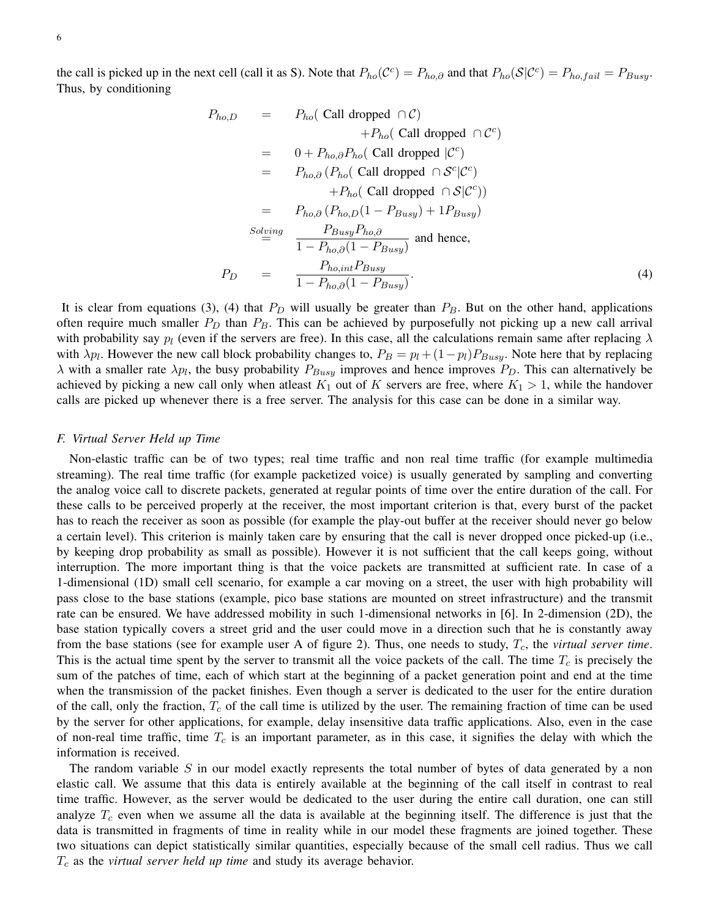the call is picked up in the next cell (call it as S). Note that  $P_{ho}(C^c) = P_{ho,\partial}$  and that  $P_{ho}(S|C^c) = P_{ho,fail} = P_{Busy}$ . Thus, by conditioning

$$
P_{ho,D} = P_{ho}(\text{Call dropped } \cap \mathcal{C})
$$
  
\n
$$
+ P_{ho}(\text{Call dropped } \cap \mathcal{C}^c)
$$
  
\n
$$
= 0 + P_{ho,\partial} P_{ho}(\text{Call dropped } \mathcal{C}^c)
$$
  
\n
$$
= P_{ho,\partial} (P_{ho}(\text{Call dropped } \cap \mathcal{S}^c | \mathcal{C}^c)
$$
  
\n
$$
+ P_{ho}(\text{Call dropped } \cap \mathcal{S} | \mathcal{C}^c)
$$
  
\n
$$
= P_{ho,\partial} (P_{ho,D}(1 - P_{Busy}) + 1 P_{Busy})
$$
  
\n
$$
Solving \n
$$
\frac{P_{Busy} P_{ho,\partial}}{1 - P_{ho,\partial}(1 - P_{Busy})}
$$
 and hence,  
\n
$$
P_D = \frac{P_{ho, int} P_{Busy}}{1 - P_{ho,\partial}(1 - P_{Busy})}.
$$
  
\n(4)
$$

It is clear from equations (3), (4) that  $P_D$  will usually be greater than  $P_B$ . But on the other hand, applications often require much smaller  $P_D$  than  $P_B$ . This can be achieved by purposefully not picking up a new call arrival with probability say  $p_l$  (even if the servers are free). In this case, all the calculations remain same after replacing  $\lambda$ with  $\lambda p_l$ . However the new call block probability changes to,  $P_B = p_l + (1-p_l)P_{Busy}$ . Note here that by replacing  $\lambda$  with a smaller rate  $\lambda p_l$ , the busy probability  $P_{Busy}$  improves and hence improves  $P_D$ . This can alternatively be achieved by picking a new call only when atleast  $K_1$  out of K servers are free, where  $K_1 > 1$ , while the handover calls are picked up whenever there is a free server. The analysis for this case can be done in a similar way.

### *F. Virtual Server Held up Time*

Non-elastic traffic can be of two types; real time traffic and non real time traffic (for example multimedia streaming). The real time traffic (for example packetized voice) is usually generated by sampling and converting the analog voice call to discrete packets, generated at regular points of time over the entire duration of the call. For these calls to be perceived properly at the receiver, the most important criterion is that, every burst of the packet has to reach the receiver as soon as possible (for example the play-out buffer at the receiver should never go below a certain level). This criterion is mainly taken care by ensuring that the call is never dropped once picked-up (i.e., by keeping drop probability as small as possible). However it is not sufficient that the call keeps going, without interruption. The more important thing is that the voice packets are transmitted at sufficient rate. In case of a 1-dimensional (1D) small cell scenario, for example a car moving on a street, the user with high probability will pass close to the base stations (example, pico base stations are mounted on street infrastructure) and the transmit rate can be ensured. We have addressed mobility in such 1-dimensional networks in [6]. In 2-dimension (2D), the base station typically covers a street grid and the user could move in a direction such that he is constantly away from the base stations (see for example user A of figure 2). Thus, one needs to study,  $T_c$ , the *virtual server time*. This is the actual time spent by the server to transmit all the voice packets of the call. The time  $T_c$  is precisely the sum of the patches of time, each of which start at the beginning of a packet generation point and end at the time when the transmission of the packet finishes. Even though a server is dedicated to the user for the entire duration of the call, only the fraction,  $T_c$  of the call time is utilized by the user. The remaining fraction of time can be used by the server for other applications, for example, delay insensitive data traffic applications. Also, even in the case of non-real time traffic, time  $T_c$  is an important parameter, as in this case, it signifies the delay with which the information is received.

The random variable  $S$  in our model exactly represents the total number of bytes of data generated by a non elastic call. We assume that this data is entirely available at the beginning of the call itself in contrast to real time traffic. However, as the server would be dedicated to the user during the entire call duration, one can still analyze  $T_c$  even when we assume all the data is available at the beginning itself. The difference is just that the data is transmitted in fragments of time in reality while in our model these fragments are joined together. These two situations can depict statistically similar quantities, especially because of the small cell radius. Thus we call  $T_c$  as the *virtual server held up time* and study its average behavior.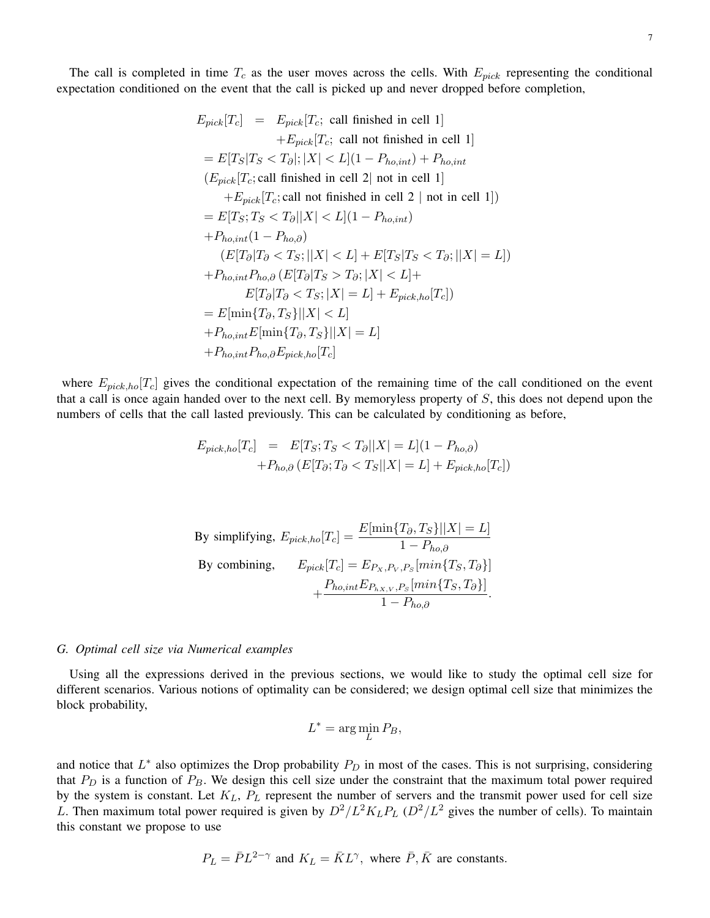$$
E_{pick}[T_c] = E_{pick}[T_c; \text{ call finished in cell 1}] + E_{pick}[T_c; \text{ call not finished in cell 1}] = E[T_S|T_S < T_\partial]; |X| < L](1 - P_{ho, int}) + P_{ho, int} (E_{pick}[T_c; \text{ call finished in cell 2} | \text{ not in cell 1}] + E_{pick}[T_c; \text{ call not finished in cell 2} | \text{ not in cell 1}]) = E[T_S; T_S < T_\partial ||X| < L](1 - P_{ho, int}) + P_{ho, int}(1 - P_{ho, \partial}) (E[T_\partial | T_\partial < T_S; ||X| < L] + E[T_S|T_S < T_\partial; ||X| = L]) + P_{ho, int} P_{ho, \partial} (E[T_\partial | T_S > T_\partial; |X| < L] + E[T_\partial | T_\partial < T_S; |X| = L] + E_{pick, ho}[T_c]) = E[\min\{T_\partial, T_S\} ||X| < L] + P_{ho, int} E[\min\{T_\partial, T_S\} ||X| = L] + P_{ho, int} P_{ho, \partial} E_{pick, ho}[T_c]
$$

where  $E_{pick,ho}[T_c]$  gives the conditional expectation of the remaining time of the call conditioned on the event that a call is once again handed over to the next cell. By memoryless property of  $S$ , this does not depend upon the numbers of cells that the call lasted previously. This can be calculated by conditioning as before,

$$
E_{pick, ho}[T_c] = E[T_S; T_S < T_{\partial} ||X| = L](1 - P_{ho, \partial})
$$

$$
+ P_{ho, \partial} (E[T_{\partial}; T_{\partial} < T_S ||X| = L] + E_{pick, ho}[T_c])
$$

By simplifying, 
$$
E_{pick, ho}[T_c] = \frac{E[\min\{T_{\partial}, T_S\}||X| = L]}{1 - P_{ho,\partial}}
$$
  
By combining,  $E_{pick}[T_c] = E_{P_X, P_V, P_S}[min\{T_S, T_{\partial}\}] + \frac{P_{ho,int}E_{P_{hX,V}, P_S}[min\{T_S, T_{\partial}\}]}{1 - P_{ho,\partial}}.$ 

## *G. Optimal cell size via Numerical examples*

Using all the expressions derived in the previous sections, we would like to study the optimal cell size for different scenarios. Various notions of optimality can be considered; we design optimal cell size that minimizes the block probability,

$$
L^* = \arg\min_L P_B,
$$

and notice that  $L^*$  also optimizes the Drop probability  $P_D$  in most of the cases. This is not surprising, considering that  $P_D$  is a function of  $P_B$ . We design this cell size under the constraint that the maximum total power required by the system is constant. Let  $K_L$ ,  $P_L$  represent the number of servers and the transmit power used for cell size L. Then maximum total power required is given by  $D^2/L^2K_LP_L$  ( $D^2/L^2$  gives the number of cells). To maintain this constant we propose to use

$$
P_L = \bar{P}L^{2-\gamma}
$$
 and  $K_L = \bar{K}L^{\gamma}$ , where  $\bar{P}, \bar{K}$  are constants.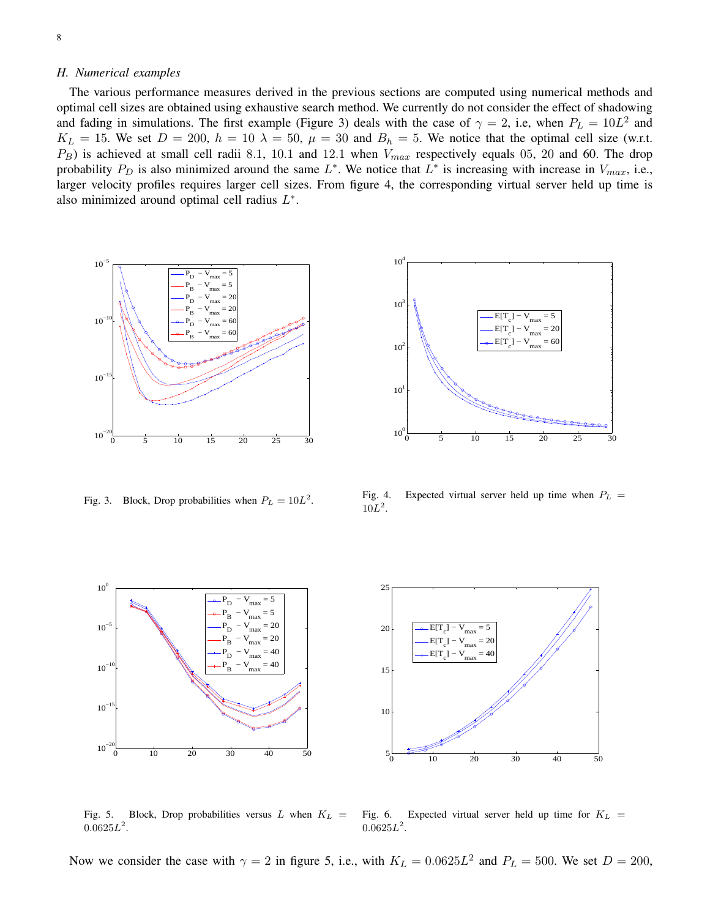#### *H. Numerical examples*

The various performance measures derived in the previous sections are computed using numerical methods and optimal cell sizes are obtained using exhaustive search method. We currently do not consider the effect of shadowing and fading in simulations. The first example (Figure 3) deals with the case of  $\gamma = 2$ , i.e, when  $P_L = 10L^2$  and  $K_L = 15$ . We set  $D = 200$ ,  $h = 10 \lambda = 50$ ,  $\mu = 30$  and  $B_h = 5$ . We notice that the optimal cell size (w.r.t.  $P_B$ ) is achieved at small cell radii 8.1, 10.1 and 12.1 when  $V_{max}$  respectively equals 05, 20 and 60. The drop probability  $P_D$  is also minimized around the same  $L^*$ . We notice that  $L^*$  is increasing with increase in  $V_{max}$ , i.e., larger velocity profiles requires larger cell sizes. From figure 4, the corresponding virtual server held up time is also minimized around optimal cell radius  $L^*$ .



Fig. 3. Block, Drop probabilities when  $P_L = 10L^2$ .



Fig. 4. Expected virtual server held up time when  $P_L$  =  $10L^2$ .





Fig. 5. Block, Drop probabilities versus  $L$  when  $K_L$  =  $0.0625L^2$ .

Fig. 6. Expected virtual server held up time for  $K_L$  =  $0.0625L^2$ .

Now we consider the case with  $\gamma = 2$  in figure 5, i.e., with  $K_L = 0.0625L^2$  and  $P_L = 500$ . We set  $D = 200$ ,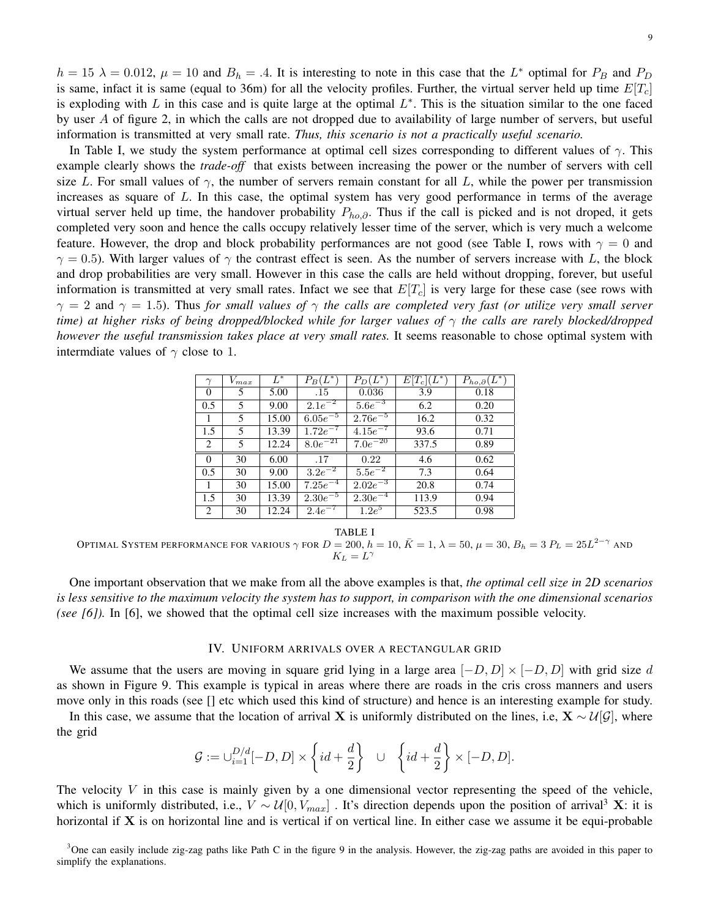information is transmitted at very small rate. *Thus, this scenario is not a practically useful scenario.* In Table I, we study the system performance at optimal cell sizes corresponding to different values of  $\gamma$ . This example clearly shows the *trade-off* that exists between increasing the power or the number of servers with cell size L. For small values of  $\gamma$ , the number of servers remain constant for all L, while the power per transmission increases as square of L. In this case, the optimal system has very good performance in terms of the average virtual server held up time, the handover probability  $P_{ho,\partial}$ . Thus if the call is picked and is not droped, it gets completed very soon and hence the calls occupy relatively lesser time of the server, which is very much a welcome feature. However, the drop and block probability performances are not good (see Table I, rows with  $\gamma = 0$  and  $\gamma = 0.5$ ). With larger values of  $\gamma$  the contrast effect is seen. As the number of servers increase with L, the block and drop probabilities are very small. However in this case the calls are held without dropping, forever, but useful information is transmitted at very small rates. Infact we see that  $E[T_c]$  is very large for these case (see rows with  $\gamma = 2$  and  $\gamma = 1.5$ ). Thus *for small values of*  $\gamma$  *the calls are completed very fast (or utilize very small server time) at higher risks of being dropped/blocked while for larger values of* γ *the calls are rarely blocked/dropped however the useful transmission takes place at very small rates.* It seems reasonable to chose optimal system with intermdiate values of  $\gamma$  close to 1.

| $\gamma$ | $V_{max}$ | $L^*$ | $P_B(L^*)$   | $P_D(L^*)$   | $E[T_c](L^*)$ | $P_{ho,\partial}(L^*)$ |
|----------|-----------|-------|--------------|--------------|---------------|------------------------|
| $\Omega$ | 5         | 5.00  | .15          | 0.036        | 3.9           | 0.18                   |
| 0.5      | 5         | 9.00  | $2.1e^{-2}$  | $5.6e^{-3}$  | 6.2           | 0.20                   |
|          | 5.        | 15.00 | $6.05e^{-5}$ | $2.76e^{-5}$ | 16.2          | 0.32                   |
| 1.5      | 5         | 13.39 | $1.72e^{-7}$ | $4.15e^{-7}$ | 93.6          | 0.71                   |
| 2        | 5         | 12.24 | $8.0e^{-21}$ | $7.0e^{-20}$ | 337.5         | 0.89                   |
| $\Omega$ | 30        | 6.00  | .17          | 0.22         | 4.6           | 0.62                   |
| 0.5      | 30        | 9.00  | $3.2e^{-2}$  | $5.5e^{-2}$  | 7.3           | 0.64                   |
|          | 30        | 15.00 | $7.25e^{-4}$ | $2.02e^{-3}$ | 20.8          | 0.74                   |
| 1.5      | 30        | 13.39 | $2.30e^{-5}$ | $2.30e^{-4}$ | 113.9         | 0.94                   |
| 2        | 30        | 12.24 | $2.4e^{-7}$  | $1.2e^5$     | 523.5         | 0.98                   |

TABLE I

OPTIMAL SYSTEM PERFORMANCE FOR VARIOUS  $\gamma$  for  $D=200$ ,  $h=10$ ,  $\bar{K}=1$ ,  $\lambda=50$ ,  $\mu=30$ ,  $B_h=3$   $P_L=25L^{2-\gamma}$  and  $K_L = L^{\gamma}$ 

One important observation that we make from all the above examples is that, *the optimal cell size in 2D scenarios is less sensitive to the maximum velocity the system has to support, in comparison with the one dimensional scenarios (see [6]).* In [6], we showed that the optimal cell size increases with the maximum possible velocity.

## IV. UNIFORM ARRIVALS OVER A RECTANGULAR GRID

We assume that the users are moving in square grid lying in a large area  $[-D, D] \times [-D, D]$  with grid size d as shown in Figure 9. This example is typical in areas where there are roads in the cris cross manners and users move only in this roads (see [] etc which used this kind of structure) and hence is an interesting example for study.

In this case, we assume that the location of arrival X is uniformly distributed on the lines, i.e,  $X \sim \mathcal{U}[\mathcal{G}]$ , where the grid

$$
\mathcal{G}:=\cup_{i=1}^{D/d}[-D,D]\times\left\{id+\frac{d}{2}\right\}\quad\cup\quad\left\{id+\frac{d}{2}\right\}\times[-D,D].
$$

The velocity  $V$  in this case is mainly given by a one dimensional vector representing the speed of the vehicle, which is uniformly distributed, i.e.,  $V \sim \mathcal{U}[0, V_{max}]$ . It's direction depends upon the position of arrival<sup>3</sup> X: it is horizontal if  $X$  is on horizontal line and is vertical if on vertical line. In either case we assume it be equi-probable

 $3$ One can easily include zig-zag paths like Path C in the figure 9 in the analysis. However, the zig-zag paths are avoided in this paper to simplify the explanations.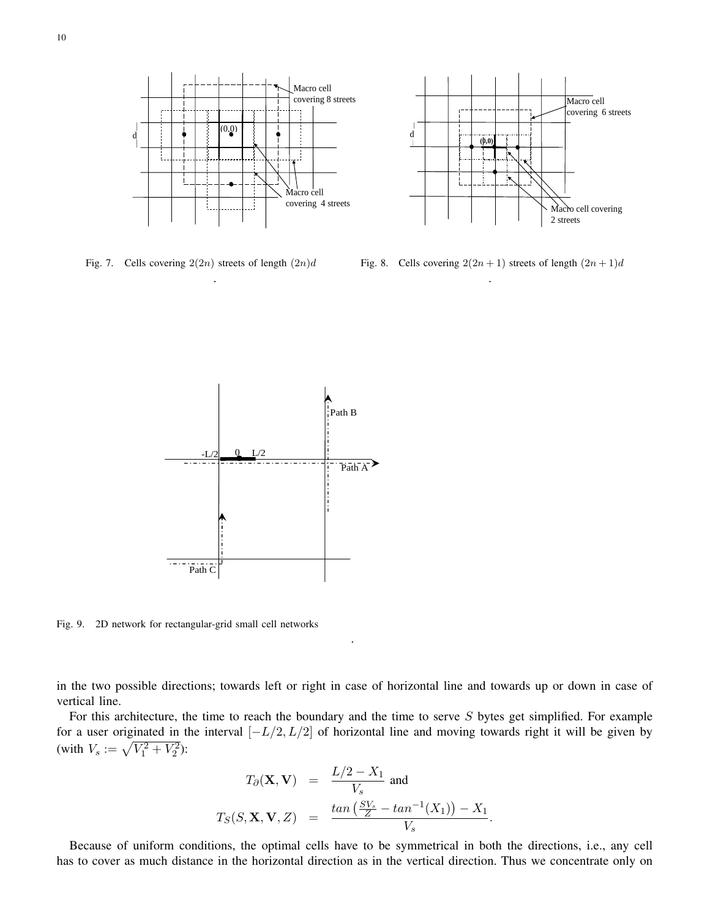

Fig. 7. Cells covering  $2(2n)$  streets of length  $(2n)d$ 

.



Fig. 8. Cells covering  $2(2n + 1)$  streets of length  $(2n + 1)d$ .



. Fig. 9. 2D network for rectangular-grid small cell networks

in the two possible directions; towards left or right in case of horizontal line and towards up or down in case of vertical line.

.

For this architecture, the time to reach the boundary and the time to serve S bytes get simplified. For example for a user originated in the interval  $[-L/2, L/2]$  of horizontal line and moving towards right it will be given by (with  $V_s := \sqrt{V_1^2 + V_2^2}$ ):

$$
T_{\partial}(\mathbf{X}, \mathbf{V}) = \frac{L/2 - X_1}{V_s} \text{ and}
$$
  

$$
T_S(S, \mathbf{X}, \mathbf{V}, Z) = \frac{\tan\left(\frac{SV_s}{Z} - \tan^{-1}(X_1)\right) - X_1}{V_s}.
$$

Because of uniform conditions, the optimal cells have to be symmetrical in both the directions, i.e., any cell has to cover as much distance in the horizontal direction as in the vertical direction. Thus we concentrate only on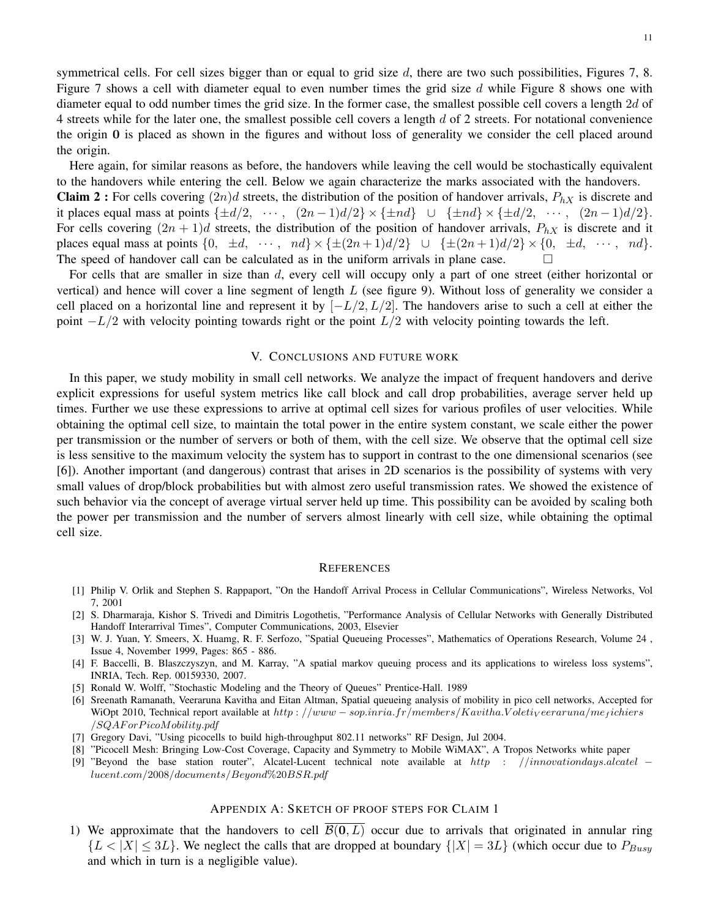symmetrical cells. For cell sizes bigger than or equal to grid size  $d$ , there are two such possibilities, Figures 7, 8. Figure 7 shows a cell with diameter equal to even number times the grid size  $d$  while Figure 8 shows one with diameter equal to odd number times the grid size. In the former case, the smallest possible cell covers a length 2d of 4 streets while for the later one, the smallest possible cell covers a length d of 2 streets. For notational convenience the origin 0 is placed as shown in the figures and without loss of generality we consider the cell placed around the origin.

Here again, for similar reasons as before, the handovers while leaving the cell would be stochastically equivalent to the handovers while entering the cell. Below we again characterize the marks associated with the handovers.

**Claim 2 :** For cells covering  $(2n)d$  streets, the distribution of the position of handover arrivals,  $P_{hX}$  is discrete and it places equal mass at points  $\{\pm d/2, \cdots, (2n-1)d/2\} \times \{\pm nd\} \cup \{\pm nd\} \times \{\pm d/2, \cdots, (2n-1)d/2\}.$ For cells covering  $(2n + 1)d$  streets, the distribution of the position of handover arrivals,  $P_{hX}$  is discrete and it places equal mass at points  $\{0, \pm d, \cdots, nd\} \times \{\pm (2n+1)d/2\} \cup \{\pm (2n+1)d/2\} \times \{0, \pm d, \cdots, nd\}.$ The speed of handover call can be calculated as in the uniform arrivals in plane case.  $\Box$ 

For cells that are smaller in size than d, every cell will occupy only a part of one street (either horizontal or vertical) and hence will cover a line segment of length  $L$  (see figure 9). Without loss of generality we consider a cell placed on a horizontal line and represent it by  $[-L/2, L/2]$ . The handovers arise to such a cell at either the point  $-L/2$  with velocity pointing towards right or the point  $L/2$  with velocity pointing towards the left.

## V. CONCLUSIONS AND FUTURE WORK

In this paper, we study mobility in small cell networks. We analyze the impact of frequent handovers and derive explicit expressions for useful system metrics like call block and call drop probabilities, average server held up times. Further we use these expressions to arrive at optimal cell sizes for various profiles of user velocities. While obtaining the optimal cell size, to maintain the total power in the entire system constant, we scale either the power per transmission or the number of servers or both of them, with the cell size. We observe that the optimal cell size is less sensitive to the maximum velocity the system has to support in contrast to the one dimensional scenarios (see [6]). Another important (and dangerous) contrast that arises in 2D scenarios is the possibility of systems with very small values of drop/block probabilities but with almost zero useful transmission rates. We showed the existence of such behavior via the concept of average virtual server held up time. This possibility can be avoided by scaling both the power per transmission and the number of servers almost linearly with cell size, while obtaining the optimal cell size.

#### **REFERENCES**

- [1] Philip V. Orlik and Stephen S. Rappaport, "On the Handoff Arrival Process in Cellular Communications", Wireless Networks, Vol 7, 2001
- [2] S. Dharmaraja, Kishor S. Trivedi and Dimitris Logothetis, "Performance Analysis of Cellular Networks with Generally Distributed Handoff Interarrival Times", Computer Communications, 2003, Elsevier
- [3] W. J. Yuan, Y. Smeers, X. Huamg, R. F. Serfozo, "Spatial Queueing Processes", Mathematics of Operations Research, Volume 24 , Issue 4, November 1999, Pages: 865 - 886.
- [4] F. Baccelli, B. Blaszczyszyn, and M. Karray, "A spatial markov queuing process and its applications to wireless loss systems", INRIA, Tech. Rep. 00159330, 2007.
- [5] Ronald W. Wolff, "Stochastic Modeling and the Theory of Queues" Prentice-Hall. 1989
- [6] Sreenath Ramanath, Veeraruna Kavitha and Eitan Altman, Spatial queueing analysis of mobility in pico cell networks, Accepted for WiOpt 2010, Technical report available at http : //www – sop.inria.fr/members/Kavitha.V oletiv eeraruna/me<sub>f</sub> ichiers /SQAF orP icoMobility.pdf
- [7] Gregory Davi, "Using picocells to build high-throughput 802.11 networks" RF Design, Jul 2004.
- [8] "Picocell Mesh: Bringing Low-Cost Coverage, Capacity and Symmetry to Mobile WiMAX", A Tropos Networks white paper
- [9] "Beyond the base station router", Alcatel-Lucent technical note available at http : //innovationdays.alcatel − lucent.com/2008/documents/Beyond%20BSR.pdf

# APPENDIX A: SKETCH OF PROOF STEPS FOR CLAIM 1

1) We approximate that the handovers to cell  $\mathcal{B}(0, L)$  occur due to arrivals that originated in annular ring  ${L < |X| \le 3L}$ . We neglect the calls that are dropped at boundary  ${|X| = 3L}$  (which occur due to  $P_{Busy}$ and which in turn is a negligible value).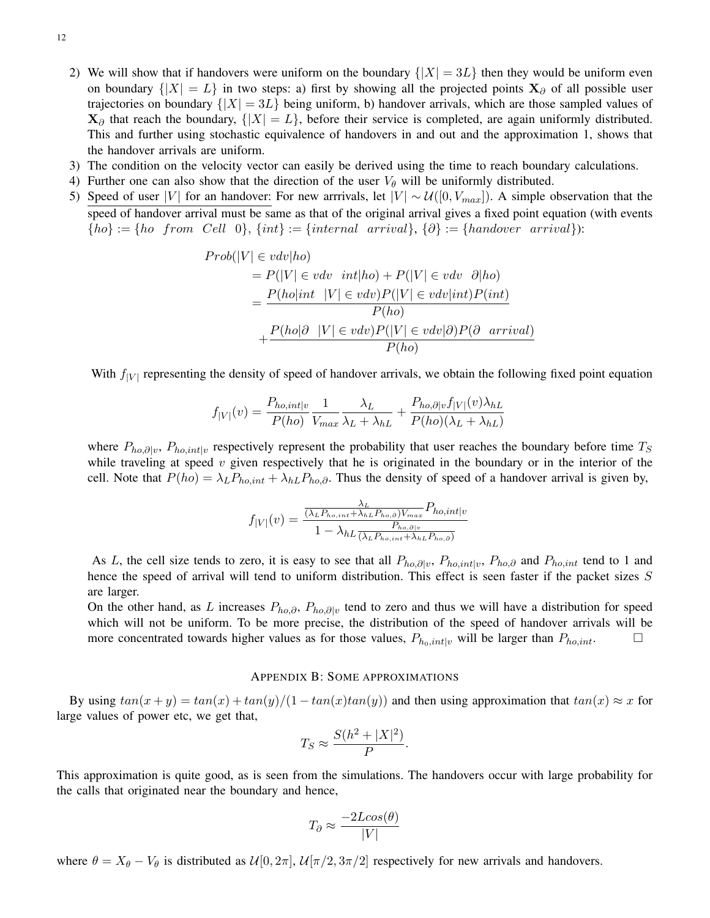- 2) We will show that if handovers were uniform on the boundary  $\{|X| = 3L\}$  then they would be uniform even on boundary  $\{ |X| = L \}$  in two steps: a) first by showing all the projected points  $X_{\partial}$  of all possible user trajectories on boundary  $\{ |X| = 3L \}$  being uniform, b) handover arrivals, which are those sampled values of  $\mathbf{X}_{\partial}$  that reach the boundary,  $\{ |X| = L \}$ , before their service is completed, are again uniformly distributed. This and further using stochastic equivalence of handovers in and out and the approximation 1, shows that the handover arrivals are uniform.
- 3) The condition on the velocity vector can easily be derived using the time to reach boundary calculations.
- 4) Further one can also show that the direction of the user  $V_{\theta}$  will be uniformly distributed.
- 5) Speed of user |V| for an handover: For new arrrivals, let  $|V| \sim \mathcal{U}([0, V_{max}])$ . A simple observation that the speed of handover arrival must be same as that of the original arrival gives a fixed point equation (with events  ${h \circ} := \{ho \ from \ Cell \ 0\}, \{int := \{internal \ arrival\}, \{\partial\} := \{handover \ unit\}).$

$$
Prob(|V| \in vdv | ho)
$$
  
=  $P(|V| \in vdv \ int |ho) + P(|V| \in vdv \ \partial |ho)$   
=  $\frac{P(ho|int \ |V| \in vdv)P(|V| \in vdv|int)P(int)}{P(ho)}$   
+  $\frac{P(ho|\partial \ |V| \in vdv)P(|V| \in vdv|\partial)P(\partial \ arrival)}{P(ho)}$ 

With  $f_{|V|}$  representing the density of speed of handover arrivals, we obtain the following fixed point equation

$$
f_{|V|}(v) = \frac{P_{ho, int|v}}{P(ho)} \frac{1}{V_{max}} \frac{\lambda_L}{\lambda_L + \lambda_{hL}} + \frac{P_{ho, \partial |v} f_{|V|}(v) \lambda_{hL}}{P(ho)(\lambda_L + \lambda_{hL})}
$$

where  $P_{ho,\partial|v}$ ,  $P_{ho,intl|v}$  respectively represent the probability that user reaches the boundary before time  $T_S$ while traveling at speed  $v$  given respectively that he is originated in the boundary or in the interior of the cell. Note that  $P(ho) = \lambda_L P_{ho,int} + \lambda_{hL} P_{ho,\partial}$ . Thus the density of speed of a handover arrival is given by,

$$
f_{|V|}(v) = \frac{\frac{\lambda_L}{(\lambda_L P_{ho,int} + \lambda_{hL} P_{ho,\partial}) V_{max}} P_{ho,int|v}}{1 - \lambda_{hL} \frac{P_{ho,int}}{(\lambda_L P_{ho,int} + \lambda_{hL} P_{ho,\partial})}}
$$

As L, the cell size tends to zero, it is easy to see that all  $P_{ho,\partial|v}$ ,  $P_{ho,intl}$ ,  $P_{ho,\partial}$  and  $P_{ho,intl}$  tend to 1 and hence the speed of arrival will tend to uniform distribution. This effect is seen faster if the packet sizes S are larger.

On the other hand, as L increases  $P_{ho,\partial}$ ,  $P_{ho,\partial|v}$  tend to zero and thus we will have a distribution for speed which will not be uniform. To be more precise, the distribution of the speed of handover arrivals will be more concentrated towards higher values as for those values,  $P_{h_0,int}$  will be larger than  $P_{h_0,int}$ .

# APPENDIX B: SOME APPROXIMATIONS

By using  $tan(x + y) = tan(x) + tan(y)/(1-tan(x)tan(y))$  and then using approximation that  $tan(x) \approx x$  for large values of power etc, we get that,

$$
T_S \approx \frac{S(h^2 + |X|^2)}{P}.
$$

This approximation is quite good, as is seen from the simulations. The handovers occur with large probability for the calls that originated near the boundary and hence,

$$
T_{\partial} \approx \frac{-2L\cos(\theta)}{|V|}
$$

where  $\theta = X_{\theta} - V_{\theta}$  is distributed as  $\mathcal{U}[0, 2\pi], \mathcal{U}[\pi/2, 3\pi/2]$  respectively for new arrivals and handovers.